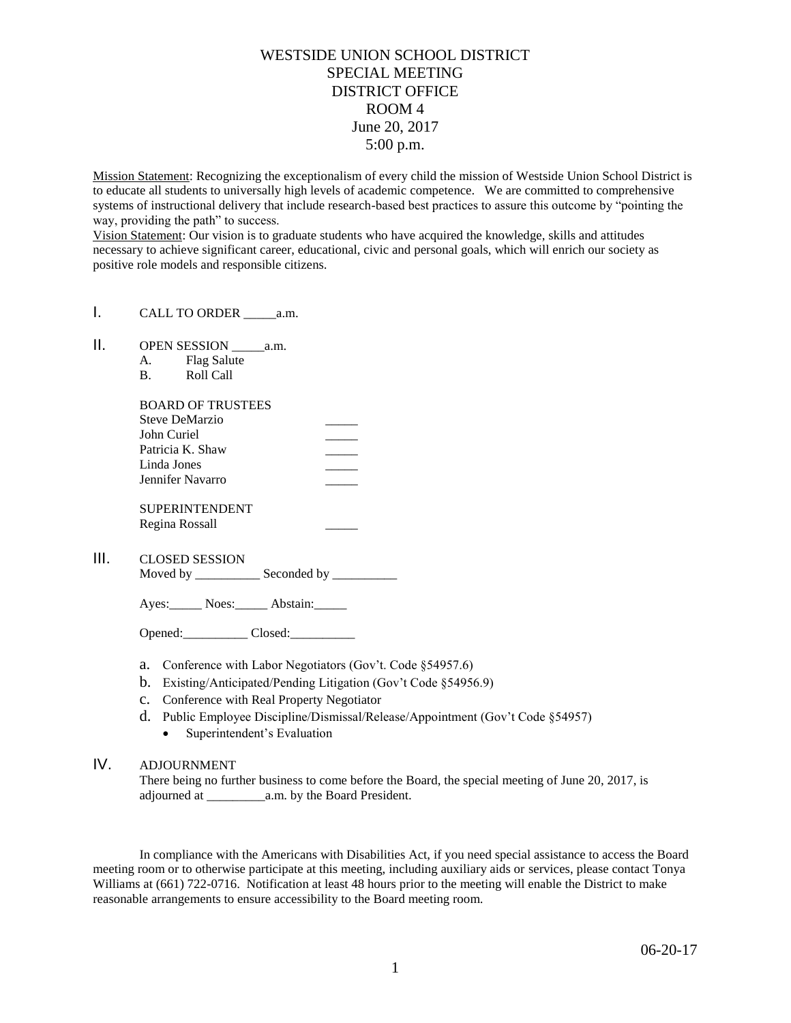## WESTSIDE UNION SCHOOL DISTRICT SPECIAL MEETING DISTRICT OFFICE ROOM 4 June 20, 2017 5:00 p.m.

Mission Statement: Recognizing the exceptionalism of every child the mission of Westside Union School District is to educate all students to universally high levels of academic competence. We are committed to comprehensive systems of instructional delivery that include research-based best practices to assure this outcome by "pointing the way, providing the path" to success.

Vision Statement: Our vision is to graduate students who have acquired the knowledge, skills and attitudes necessary to achieve significant career, educational, civic and personal goals, which will enrich our society as positive role models and responsible citizens.

- I. CALL TO ORDER a.m.
- II. OPEN SESSION a.m.
	- A. Flag Salute
	- B. Roll Call

| <b>BOARD OF TRUSTEES</b><br>Steve DeMarzio |  |
|--------------------------------------------|--|
|                                            |  |
| John Curiel                                |  |
| Patricia K. Shaw<br>Linda Jones            |  |
|                                            |  |
| <b>SUPERINTENDENT</b>                      |  |
| Regina Rossall                             |  |

III. CLOSED SESSION

Moved by \_\_\_\_\_\_\_\_\_\_\_\_\_ Seconded by \_\_\_\_\_\_\_\_\_\_\_

Ayes: Noes: Abstain:

Opened: Closed: 2008.

- a. Conference with Labor Negotiators (Gov't. Code §54957.6)
- b. Existing/Anticipated/Pending Litigation (Gov't Code §54956.9)
- c. Conference with Real Property Negotiator
- d. Public Employee Discipline/Dismissal/Release/Appointment (Gov't Code §54957)
	- Superintendent's Evaluation

## IV. ADJOURNMENT

There being no further business to come before the Board, the special meeting of June 20, 2017, is adjourned at \_\_\_\_\_\_\_\_\_a.m. by the Board President.

In compliance with the Americans with Disabilities Act, if you need special assistance to access the Board meeting room or to otherwise participate at this meeting, including auxiliary aids or services, please contact Tonya Williams at (661) 722-0716. Notification at least 48 hours prior to the meeting will enable the District to make reasonable arrangements to ensure accessibility to the Board meeting room.